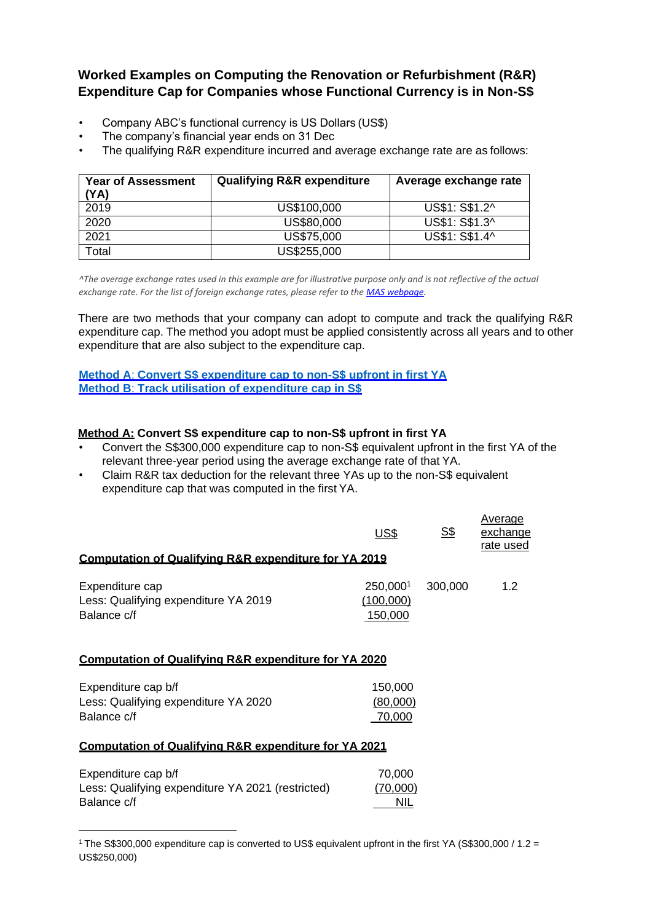**Worked Examples on Computing the Renovation or Refurbishment (R&R) Expenditure Cap for Companies whose Functional Currency is in Non-S\$**

- Company ABC's functional currency is US Dollars (US\$)
- The company's financial year ends on 31 Dec
- The qualifying R&R expenditure incurred and average exchange rate are as follows:

| <b>Year of Assessment</b><br>(YA) | <b>Qualifying R&amp;R expenditure</b> | Average exchange rate |
|-----------------------------------|---------------------------------------|-----------------------|
| 2019                              | US\$100,000                           | US\$1: S\$1.2^        |
| 2020                              | US\$80,000                            | US\$1: S\$1.3^        |
| 2021                              | US\$75,000                            | US\$1: S\$1.4^        |
| Total                             | US\$255,000                           |                       |

*^The average exchange rates used in this example are for illustrative purpose only and is not reflective of the actual exchange rate. For the list of foreign exchange rates, please refer to th[e MAS webpage.](http://www.mas.gov.sg/)*

There are two methods that your company can adopt to compute and track the qualifying R&R expenditure cap. The method you adopt must be applied consistently across all years and to other expenditure that are also subject to the expenditure cap.

### **Method A**: **[Convert S\\$ expenditure cap to non-S\\$ upfront in first YA](#page-0-0) Method B**: **[Track utilisation of expenditure cap in S\\$](#page-0-1)**

### <span id="page-0-0"></span>**Method A: Convert S\$ expenditure cap to non-S\$ upfront in first YA**

- Convert the S\$300,000 expenditure cap to non-S\$ equivalent upfront in the first YA of the relevant three-year period using the average exchange rate of that YA.
- Claim R&R tax deduction for the relevant three YAs up to the non-S\$ equivalent expenditure cap that was computed in the first YA.

| <b>Computation of Qualifying R&amp;R expenditure for YA 2019</b>       | US\$                             | <u>S\$</u> | Average<br>exchange<br>rate used |
|------------------------------------------------------------------------|----------------------------------|------------|----------------------------------|
| Expenditure cap<br>Less: Qualifying expenditure YA 2019<br>Balance c/f | 250,0001<br>(100,000)<br>150,000 | 300,000    | 1.2                              |
| Computation of Qualifying R&R expenditure for YA 2020                  |                                  |            |                                  |

## Expenditure cap b/f 150,000 Less: Qualifying expenditure YA 2020 (80,000) Balance c/f 70,000

## **Computation of Qualifying R&R expenditure for YA 2021**

| Expenditure cap b/f                               | 70.000   |
|---------------------------------------------------|----------|
| Less: Qualifying expenditure YA 2021 (restricted) | (70,000) |
| Balance c/f                                       | NIL      |

<span id="page-0-1"></span><sup>1</sup>The S\$300,000 expenditure cap is converted to US\$ equivalent upfront in the first YA (S\$300,000 / 1.2 = US\$250,000)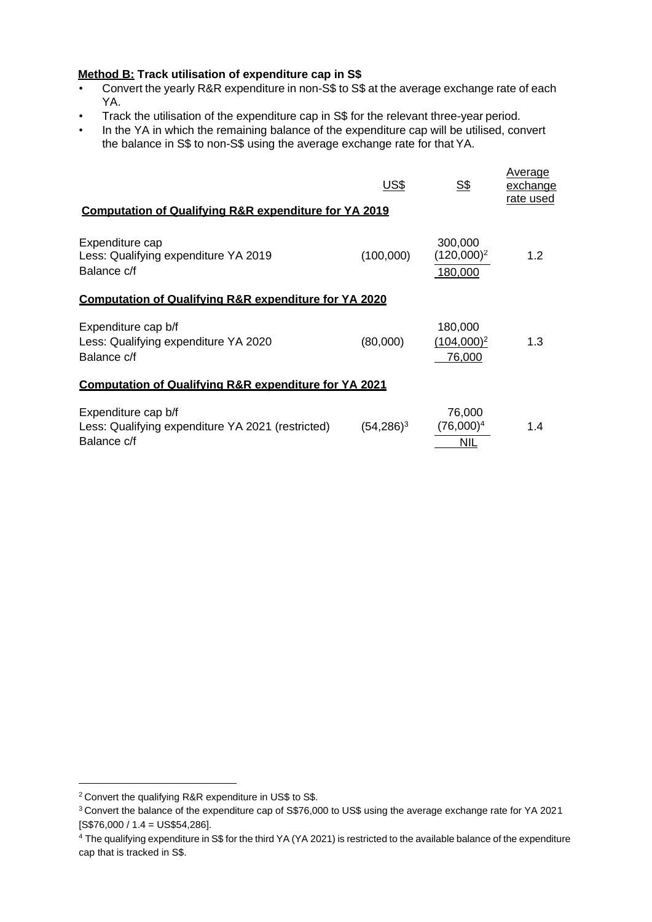# **Method B: Track utilisation of expenditure cap in S\$**

- Convert the yearly R&R expenditure in non-S\$ to S\$ at the average exchange rate of each YA.
- Track the utilisation of the expenditure cap in S\$ for the relevant three-year period.
- In the YA in which the remaining balance of the expenditure cap will be utilised, convert the balance in S\$ to non-S\$ using the average exchange rate for that YA.

| <b>Computation of Qualifying R&amp;R expenditure for YA 2019</b>                        | <u>US\$</u>   | <u>s\$</u>                          | Average<br>exchange<br>rate used |  |  |
|-----------------------------------------------------------------------------------------|---------------|-------------------------------------|----------------------------------|--|--|
| Expenditure cap<br>Less: Qualifying expenditure YA 2019<br>Balance c/f                  | (100,000)     | 300,000<br>$(120,000)^2$<br>180,000 | 1.2                              |  |  |
| <b>Computation of Qualifying R&amp;R expenditure for YA 2020</b>                        |               |                                     |                                  |  |  |
| Expenditure cap b/f<br>Less: Qualifying expenditure YA 2020<br>Balance c/f              | (80,000)      | 180,000<br>$(104,000)^2$<br>76,000  | 1.3                              |  |  |
| <b>Computation of Qualifying R&amp;R expenditure for YA 2021</b>                        |               |                                     |                                  |  |  |
| Expenditure cap b/f<br>Less: Qualifying expenditure YA 2021 (restricted)<br>Balance c/f | $(54, 286)^3$ | 76,000<br>$(76,000)^4$<br>NIL       | 1.4                              |  |  |

<sup>2</sup>Convert the qualifying R&R expenditure in US\$ to S\$.

<sup>3</sup>Convert the balance of the expenditure cap of S\$76,000 to US\$ using the average exchange rate for YA 2021 [S\$76,000 / 1.4 = US\$54,286].

<sup>4</sup> The qualifying expenditure in S\$ for the third YA (YA 2021) is restricted to the available balance of the expenditure cap that is tracked in S\$.